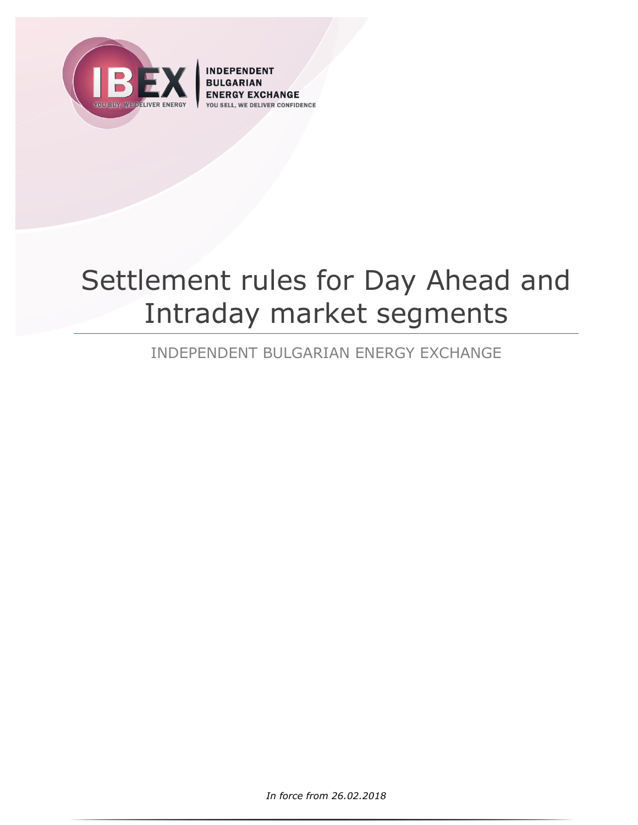

**INDEPENDENT EXCHANGE IVER CONFIDENCE** 

# Settlement rules for Day Ahead and Intraday market segments

INDEPENDENT BULGARIAN ENERGY EXCHANGE

*In force from 26.02.2018*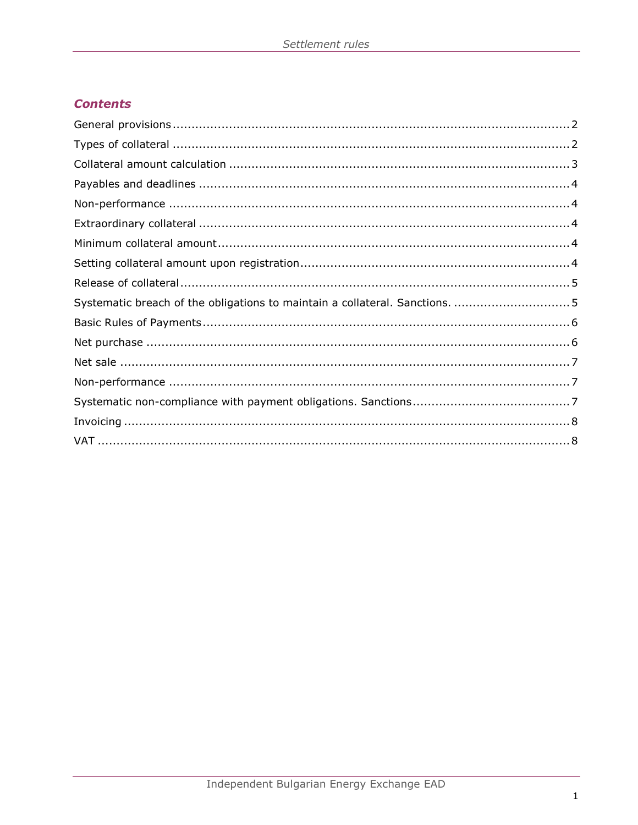# **Contents**

| Systematic breach of the obligations to maintain a collateral. Sanctions.  5 |  |
|------------------------------------------------------------------------------|--|
|                                                                              |  |
|                                                                              |  |
|                                                                              |  |
|                                                                              |  |
|                                                                              |  |
|                                                                              |  |
|                                                                              |  |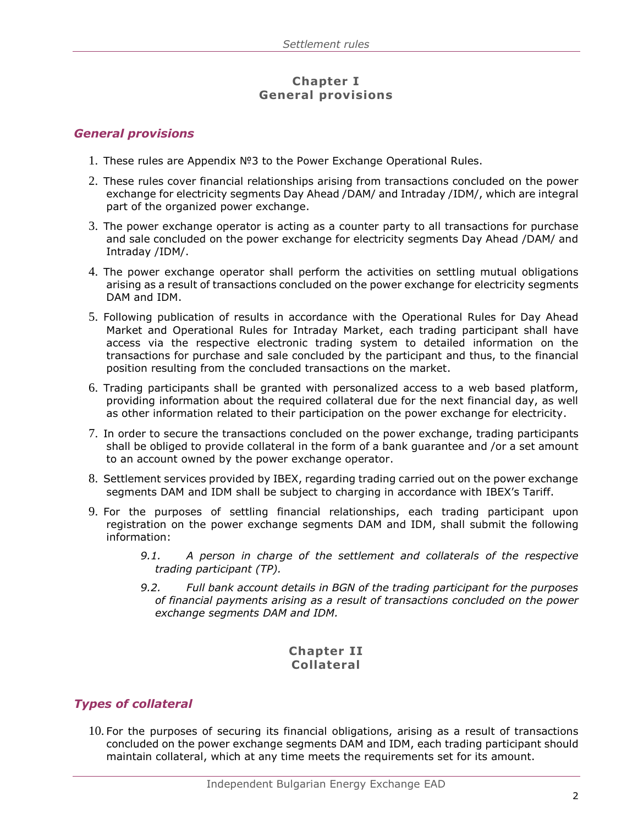## **Chapter I General provisions**

## <span id="page-2-0"></span>*General provisions*

- 1. These rules are Appendix №3 to the Power Exchange Operational Rules.
- 2. These rules cover financial relationships arising from transactions concluded on the power exchange for electricity segments Day Ahead /DAM/ and Intraday /IDM/, which are integral part of the organized power exchange.
- 3. The power exchange operator is acting as a counter party to all transactions for purchase and sale concluded on the power exchange for electricity segments Day Ahead /DAM/ and Intraday /IDM/.
- 4. The power exchange operator shall perform the activities on settling mutual obligations arising as a result of transactions concluded on the power exchange for electricity segments DAM and IDM.
- 5. Following publication of results in accordance with the Operational Rules for Day Ahead Market and Operational Rules for Intraday Market, each trading participant shall have access via the respective electronic trading system to detailed information on the transactions for purchase and sale concluded by the participant and thus, to the financial position resulting from the concluded transactions on the market.
- 6. Trading participants shall be granted with personalized access to a web based platform, providing information about the required collateral due for the next financial day, as well as other information related to their participation on the power exchange for electricity.
- 7. In order to secure the transactions concluded on the power exchange, trading participants shall be obliged to provide collateral in the form of a bank guarantee and /or a set amount to an account owned by the power exchange operator.
- 8. Settlement services provided by IBEX, regarding trading carried out on the power exchange segments DAM and IDM shall be subject to charging in accordance with IBEX's Tariff.
- 9. For the purposes of settling financial relationships, each trading participant upon registration on the power exchange segments DAM and IDM, shall submit the following information:
	- *9.1. A person in charge of the settlement and collaterals of the respective trading participant (TP).*
	- *9.2. Full bank account details in BGN of the trading participant for the purposes of financial payments arising as a result of transactions concluded on the power exchange segments DAM and IDM.*

#### **Chapter II Collateral**

# <span id="page-2-1"></span>*Types of collateral*

10. For the purposes of securing its financial obligations, arising as a result of transactions concluded on the power exchange segments DAM and IDM, each trading participant should maintain collateral, which at any time meets the requirements set for its amount.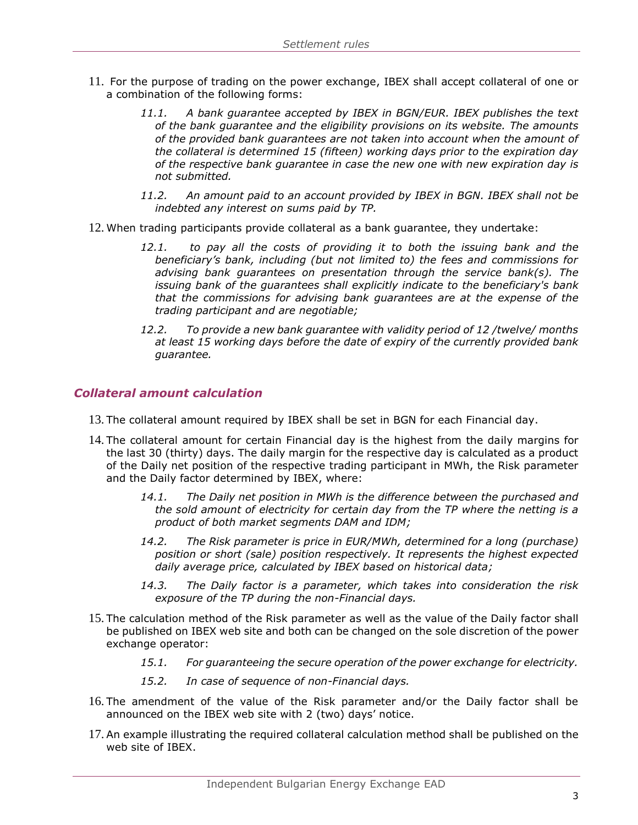- 11. For the purpose of trading on the power exchange, IBEX shall accept collateral of one or a combination of the following forms:
	- *11.1. A bank guarantee accepted by IBEX in BGN/EUR. IBEX publishes the text of the bank guarantee and the eligibility provisions on its website. The amounts of the provided bank guarantees are not taken into account when the amount of the collateral is determined 15 (fifteen) working days prior to the expiration day of the respective bank guarantee in case the new one with new expiration day is not submitted.*
	- *11.2. An amount paid to an account provided by IBEX in BGN. IBEX shall not be indebted any interest on sums paid by TP.*
- 12. When trading participants provide collateral as a bank guarantee, they undertake:
	- *12.1. to pay all the costs of providing it to both the issuing bank and the beneficiary's bank, including (but not limited to) the fees and commissions for advising bank guarantees on presentation through the service bank(s). The issuing bank of the guarantees shall explicitly indicate to the beneficiary's bank that the commissions for advising bank guarantees are at the expense of the trading participant and are negotiable;*
	- *12.2. To provide a new bank guarantee with validity period of 12 /twelve/ months at least 15 working days before the date of expiry of the currently provided bank guarantee.*

# <span id="page-3-0"></span>*Collateral amount calculation*

- 13. The collateral amount required by IBEX shall be set in BGN for each Financial day.
- 14. The collateral amount for certain Financial day is the highest from the daily margins for the last 30 (thirty) days. The daily margin for the respective day is calculated as a product of the Daily net position of the respective trading participant in MWh, the Risk parameter and the Daily factor determined by IBEX, where:
	- *14.1. The Daily net position in MWh is the difference between the purchased and the sold amount of electricity for certain day from the TP where the netting is a product of both market segments DAM and IDM;*
	- *14.2. The Risk parameter is price in EUR/MWh, determined for a long (purchase) position or short (sale) position respectively. It represents the highest expected daily average price, calculated by IBEX based on historical data;*
	- *14.3. The Daily factor is a parameter, which takes into consideration the risk exposure of the TP during the non-Financial days.*
- 15. The calculation method of the Risk parameter as well as the value of the Daily factor shall be published on IBEX web site and both can be changed on the sole discretion of the power exchange operator:
	- *15.1. For guaranteeing the secure operation of the power exchange for electricity.*
	- *15.2. In case of sequence of non-Financial days.*
- 16. The amendment of the value of the Risk parameter and/or the Daily factor shall be announced on the IBEX web site with 2 (two) days' notice.
- 17. An example illustrating the required collateral calculation method shall be published on the web site of IBEX.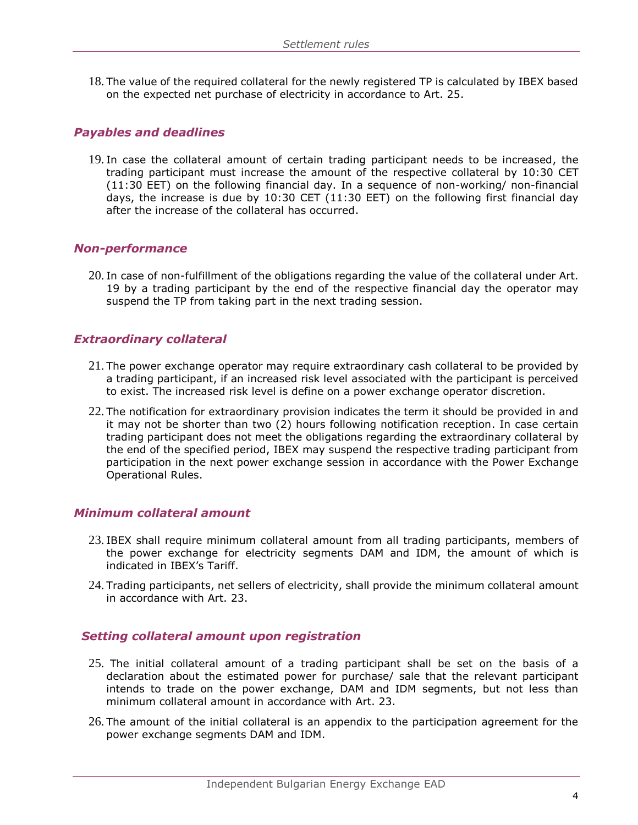18. The value of the required collateral for the newly registered TP is calculated by IBEX based on the expected net purchase of electricity in accordance to Art. 25.

#### <span id="page-4-0"></span>*Payables and deadlines*

19. In case the collateral amount of certain trading participant needs to be increased, the trading participant must increase the amount of the respective collateral by 10:30 CET (11:30 ЕЕТ) on the following financial day. In a sequence of non-working/ non-financial days, the increase is due by 10:30 CET (11:30 ЕЕТ) on the following first financial day after the increase of the collateral has occurred.

#### <span id="page-4-1"></span>*Non-performance*

20. In case of non-fulfillment of the obligations regarding the value of the collateral under Art. 19 by a trading participant by the end of the respective financial day the operator may suspend the TP from taking part in the next trading session.

#### <span id="page-4-2"></span>*Extraordinary collateral*

- 21. The power exchange operator may require extraordinary cash collateral to be provided by a trading participant, if an increased risk level associated with the participant is perceived to exist. The increased risk level is define on a power exchange operator discretion.
- 22. The notification for extraordinary provision indicates the term it should be provided in and it may not be shorter than two (2) hours following notification reception. In case certain trading participant does not meet the obligations regarding the extraordinary collateral by the end of the specified period, IBEX may suspend the respective trading participant from participation in the next power exchange session in accordance with the Power Exchange Operational Rules.

# <span id="page-4-3"></span>*Minimum collateral amount*

- 23. IBEX shall require minimum collateral amount from all trading participants, members of the power exchange for electricity segments DAM and IDM, the amount of which is indicated in IBEX's Tariff.
- 24. Trading participants, net sellers of electricity, shall provide the minimum collateral amount in accordance with Art. 23.

#### <span id="page-4-4"></span> *Setting collateral amount upon registration*

- 25. The initial collateral amount of a trading participant shall be set on the basis of a declaration about the estimated power for purchase/ sale that the relevant participant intends to trade on the power exchange, DAM and IDM segments, but not less than minimum collateral amount in accordance with Art. 23.
- 26. The amount of the initial collateral is an appendix to the participation agreement for the power exchange segments DAM and IDM.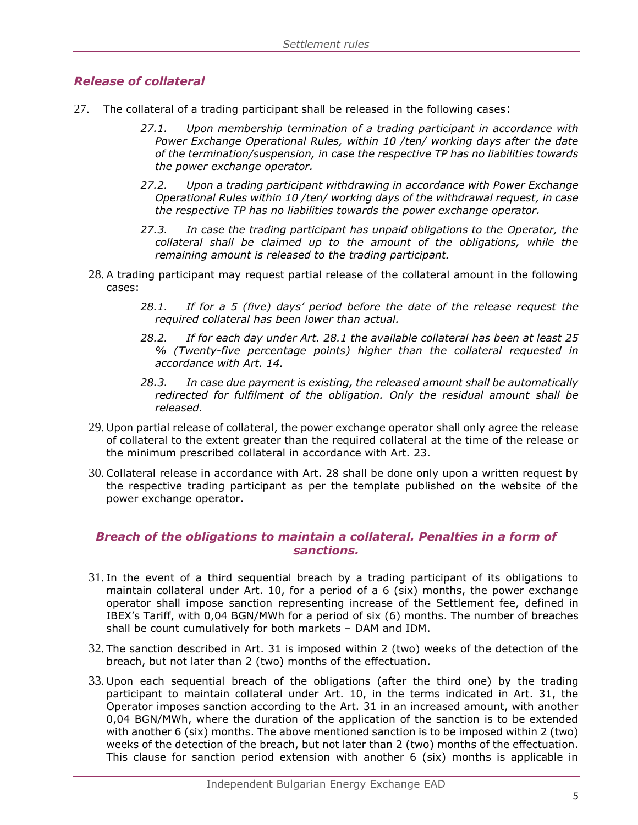# <span id="page-5-0"></span>*Release of collateral*

- 27. The collateral of a trading participant shall be released in the following cases:
	- *27.1. Upon membership termination of a trading participant in accordance with Power Exchange Operational Rules, within 10 /ten/ working days after the date of the termination/suspension, in case the respective TP has no liabilities towards the power exchange operator.*
	- *27.2. Upon a trading participant withdrawing in accordance with Power Exchange Operational Rules within 10 /ten/ working days of the withdrawal request, in case the respective TP has no liabilities towards the power exchange operator.*
	- *27.3. In case the trading participant has unpaid obligations to the Operator, the collateral shall be claimed up to the amount of the obligations, while the remaining amount is released to the trading participant.*
	- 28. A trading participant may request partial release of the collateral amount in the following cases:
		- *28.1. If for a 5 (five) days' period before the date of the release request the required collateral has been lower than actual.*
		- *28.2. If for each day under Art. 28.1 the available collateral has been at least 25 % (Twenty-five percentage points) higher than the collateral requested in accordance with Art. 14.*
		- *28.3. In case due payment is existing, the released amount shall be automatically redirected for fulfilment of the obligation. Only the residual amount shall be released.*
	- 29. Upon partial release of collateral, the power exchange operator shall only agree the release of collateral to the extent greater than the required collateral at the time of the release or the minimum prescribed collateral in accordance with Art. 23.
	- 30. Collateral release in accordance with Art. 28 shall be done only upon a written request by the respective trading participant as per the template published on the website of the power exchange operator.

# <span id="page-5-1"></span>*Breach of the obligations to maintain a collateral. Penalties in a form of sanctions.*

- 31. In the event of a third sequential breach by a trading participant of its obligations to maintain collateral under Art. 10, for a period of a 6 (six) months, the power exchange operator shall impose sanction representing increase of the Settlement fee, defined in IBEX's Tariff, with 0,04 BGN/MWh for a period of six (6) months. The number of breaches shall be count cumulatively for both markets – DAM and IDM.
- 32. The sanction described in Art. 31 is imposed within 2 (two) weeks of the detection of the breach, but not later than 2 (two) months of the effectuation.
- 33. Upon each sequential breach of the obligations (after the third one) by the trading participant to maintain collateral under Art. 10, in the terms indicated in Art. 31, the Operator imposes sanction according to the Art. 31 in an increased amount, with another 0,04 BGN/MWh, where the duration of the application of the sanction is to be extended with another 6 (six) months. The above mentioned sanction is to be imposed within 2 (two) weeks of the detection of the breach, but not later than 2 (two) months of the effectuation. This clause for sanction period extension with another 6 (six) months is applicable in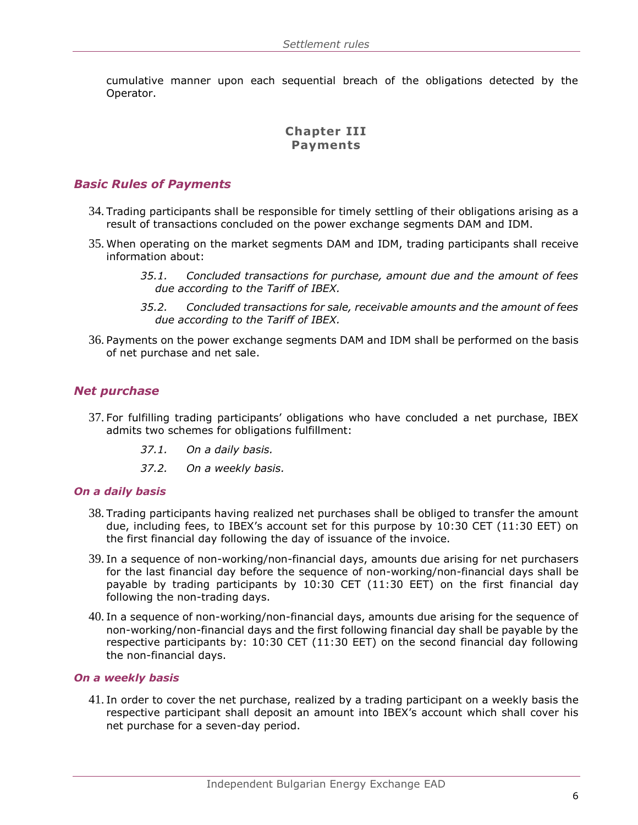cumulative manner upon each sequential breach of the obligations detected by the Operator.

# **Chapter III Payments**

#### <span id="page-6-0"></span>*Basic Rules of Payments*

- 34. Trading participants shall be responsible for timely settling of their obligations arising as a result of transactions concluded on the power exchange segments DAM and IDM.
- 35. When operating on the market segments DAM and IDM, trading participants shall receive information about:
	- *35.1. Concluded transactions for purchase, amount due and the amount of fees due according to the Tariff of IBEX.*
	- *35.2. Concluded transactions for sale, receivable amounts and the amount of fees due according to the Tariff of IBEX.*
- 36. Payments on the power exchange segments DAM and IDM shall be performed on the basis of net purchase and net sale.

#### <span id="page-6-1"></span>*Net purchase*

- 37. For fulfilling trading participants' obligations who have concluded a net purchase, IBEX admits two schemes for obligations fulfillment:
	- *37.1. On a daily basis.*
	- *37.2. On a weekly basis.*

#### *On a daily basis*

- 38. Trading participants having realized net purchases shall be obliged to transfer the amount due, including fees, to IBEX's account set for this purpose by 10:30 CET (11:30 ЕЕТ) on the first financial day following the day of issuance of the invoice.
- 39. In a sequence of non-working/non-financial days, amounts due arising for net purchasers for the last financial day before the sequence of non-working/non-financial days shall be payable by trading participants by 10:30 CET (11:30 ЕЕТ) on the first financial day following the non-trading days.
- 40. In a sequence of non-working/non-financial days, amounts due arising for the sequence of non-working/non-financial days and the first following financial day shall be payable by the respective participants by: 10:30 CET (11:30 EET) on the second financial day following the non-financial days.

#### *On a weekly basis*

41. In order to cover the net purchase, realized by a trading participant on a weekly basis the respective participant shall deposit an amount into IBEX's account which shall cover his net purchase for a seven-day period.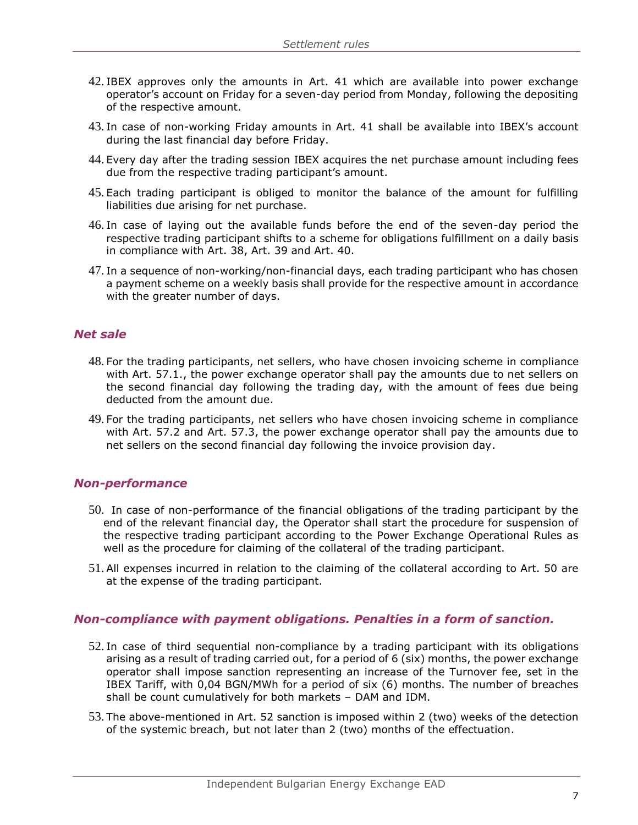- 42. IBEX approves only the amounts in Art. 41 which are available into power exchange operator's account on Friday for a seven-day period from Monday, following the depositing of the respective amount.
- 43. In case of non-working Friday amounts in Art. 41 shall be available into IBEX's account during the last financial day before Friday.
- 44. Every day after the trading session IBEX acquires the net purchase amount including fees due from the respective trading participant's amount.
- 45. Each trading participant is obliged to monitor the balance of the amount for fulfilling liabilities due arising for net purchase.
- 46. In case of laying out the available funds before the end of the seven-day period the respective trading participant shifts to a scheme for obligations fulfillment on a daily basis in compliance with Art. 38, Art. 39 and Art. 40.
- 47. In a sequence of non-working/non-financial days, each trading participant who has chosen a payment scheme on a weekly basis shall provide for the respective amount in accordance with the greater number of days.

#### <span id="page-7-0"></span>*Net sale*

- 48. For the trading participants, net sellers, who have chosen invoicing scheme in compliance with Art. 57.1., the power exchange operator shall pay the amounts due to net sellers on the second financial day following the trading day, with the amount of fees due being deducted from the amount due.
- 49. For the trading participants, net sellers who have chosen invoicing scheme in compliance with Art. 57.2 and Art. 57.3, the power exchange operator shall pay the amounts due to net sellers on the second financial day following the invoice provision day.

#### <span id="page-7-1"></span>*Non-performance*

- 50. In case of non-performance of the financial obligations of the trading participant by the end of the relevant financial day, the Operator shall start the procedure for suspension of the respective trading participant according to the Power Exchange Operational Rules as well as the procedure for claiming of the collateral of the trading participant.
- 51. All expenses incurred in relation to the claiming of the collateral according to Art. 50 are at the expense of the trading participant.

#### <span id="page-7-2"></span>*Non-compliance with payment obligations. Penalties in a form of sanction.*

- 52. In case of third sequential non-compliance by a trading participant with its obligations arising as a result of trading carried out, for a period of 6 (six) months, the power exchange operator shall impose sanction representing an increase of the Turnover fee, set in the IBEX Tariff, with 0,04 BGN/MWh for a period of six (6) months. The number of breaches shall be count cumulatively for both markets – DAM and IDM.
- 53. The above-mentioned in Art. 52 sanction is imposed within 2 (two) weeks of the detection of the systemic breach, but not later than 2 (two) months of the effectuation.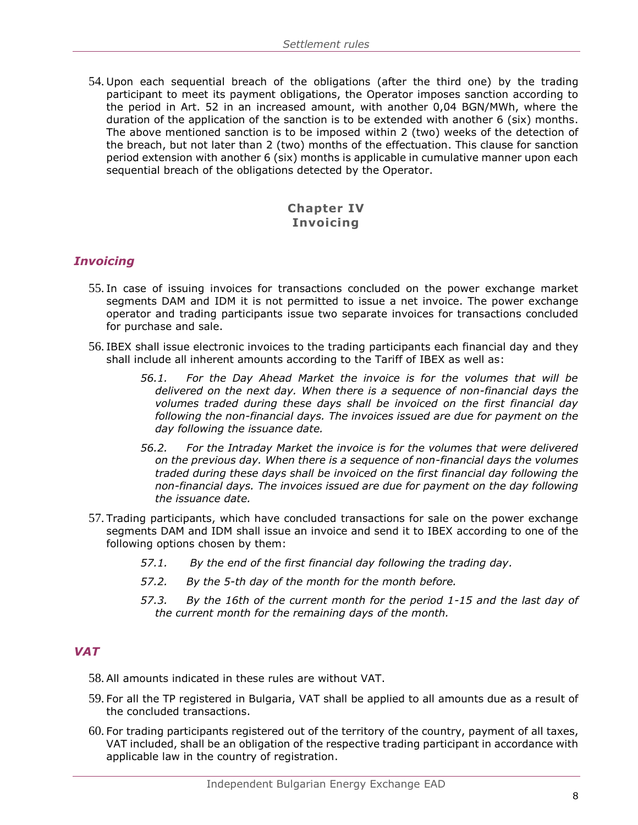54. Upon each sequential breach of the obligations (after the third one) by the trading participant to meet its payment obligations, the Operator imposes sanction according to the period in Art. 52 in an increased amount, with another 0,04 BGN/MWh, where the duration of the application of the sanction is to be extended with another 6 (six) months. The above mentioned sanction is to be imposed within 2 (two) weeks of the detection of the breach, but not later than 2 (two) months of the effectuation. This clause for sanction period extension with another 6 (six) months is applicable in cumulative manner upon each sequential breach of the obligations detected by the Operator.

# **Chapter IV Invoicing**

# <span id="page-8-0"></span>*Invoicing*

- 55. In case of issuing invoices for transactions concluded on the power exchange market segments DAM and IDM it is not permitted to issue a net invoice. The power exchange operator and trading participants issue two separate invoices for transactions concluded for purchase and sale.
- 56. IBEX shall issue electronic invoices to the trading participants each financial day and they shall include all inherent amounts according to the Tariff of IBEX as well as:
	- *56.1. For the Day Ahead Market the invoice is for the volumes that will be delivered on the next day. When there is a sequence of non-financial days the volumes traded during these days shall be invoiced on the first financial day following the non-financial days. The invoices issued are due for payment on the day following the issuance date.*
	- *56.2. For the Intraday Market the invoice is for the volumes that were delivered on the previous day. When there is a sequence of non-financial days the volumes traded during these days shall be invoiced on the first financial day following the non-financial days. The invoices issued are due for payment on the day following the issuance date.*
- 57. Trading participants, which have concluded transactions for sale on the power exchange segments DAM and IDM shall issue an invoice and send it to IBEX according to one of the following options chosen by them:
	- *57.1. By the end of the first financial day following the trading day.*
	- *57.2. By the 5-th day of the month for the month before.*
	- *57.3. By the 16th of the current month for the period 1-15 and the last day of the current month for the remaining days of the month.*

# <span id="page-8-1"></span>*VAT*

- 58. All amounts indicated in these rules are without VAT.
- 59. For all the TP registered in Bulgaria, VAT shall be applied to all amounts due as a result of the concluded transactions.
- 60. For trading participants registered out of the territory of the country, payment of all taxes, VAT included, shall be an obligation of the respective trading participant in accordance with applicable law in the country of registration.